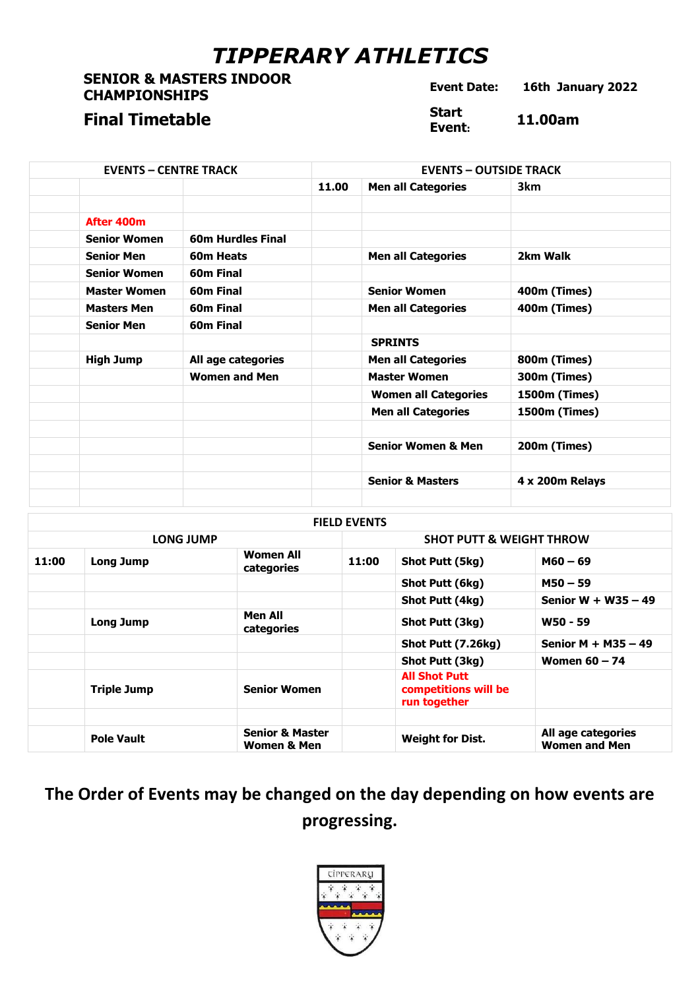## *TIPPERARY ATHLETICS*

**SENIOR & MASTERS INDOOR CHAMPIONSHIPS** 

**Final Timetable Start** 

**Event Date: 16th January 2022**

**Event:**

**11.00am**

| <b>EVENTS - CENTRE TRACK</b> |                     |                          | <b>EVENTS - OUTSIDE TRACK</b> |                               |                      |  |
|------------------------------|---------------------|--------------------------|-------------------------------|-------------------------------|----------------------|--|
|                              |                     |                          | 11.00                         | <b>Men all Categories</b>     | 3km                  |  |
|                              |                     |                          |                               |                               |                      |  |
|                              | After 400m          |                          |                               |                               |                      |  |
|                              | <b>Senior Women</b> | <b>60m Hurdles Final</b> |                               |                               |                      |  |
|                              | <b>Senior Men</b>   | 60m Heats                |                               | <b>Men all Categories</b>     | 2km Walk             |  |
|                              | <b>Senior Women</b> | 60m Final                |                               |                               |                      |  |
|                              | <b>Master Women</b> | 60m Final                |                               | <b>Senior Women</b>           | <b>400m (Times)</b>  |  |
|                              | <b>Masters Men</b>  | 60m Final                |                               | <b>Men all Categories</b>     | 400m (Times)         |  |
|                              | <b>Senior Men</b>   | 60m Final                |                               |                               |                      |  |
|                              |                     |                          |                               | <b>SPRINTS</b>                |                      |  |
|                              | <b>High Jump</b>    | All age categories       |                               | <b>Men all Categories</b>     | <b>800m (Times)</b>  |  |
|                              |                     | <b>Women and Men</b>     |                               | <b>Master Women</b>           | 300m (Times)         |  |
|                              |                     |                          |                               | <b>Women all Categories</b>   | <b>1500m (Times)</b> |  |
|                              |                     |                          |                               | <b>Men all Categories</b>     | 1500m (Times)        |  |
|                              |                     |                          |                               |                               |                      |  |
|                              |                     |                          |                               | <b>Senior Women &amp; Men</b> | 200m (Times)         |  |
|                              |                     |                          |                               |                               |                      |  |
|                              |                     |                          |                               | <b>Senior &amp; Masters</b>   | 4 x 200m Relays      |  |
|                              |                     |                          |                               |                               |                      |  |

|                  |                    |                                                      | <b>FIELD EVENTS</b>                 |                                                              |                                            |  |
|------------------|--------------------|------------------------------------------------------|-------------------------------------|--------------------------------------------------------------|--------------------------------------------|--|
| <b>LONG JUMP</b> |                    |                                                      | <b>SHOT PUTT &amp; WEIGHT THROW</b> |                                                              |                                            |  |
| 11:00            | <b>Long Jump</b>   | <b>Women All</b><br>categories                       | 11:00                               | Shot Putt (5kg)                                              | $M60 - 69$                                 |  |
|                  |                    |                                                      |                                     | Shot Putt (6kg)                                              | $MSO - 59$                                 |  |
|                  |                    |                                                      |                                     | Shot Putt (4kg)                                              | Senior W + W35 $-$ 49                      |  |
|                  | <b>Long Jump</b>   | <b>Men All</b><br>categories                         |                                     | Shot Putt (3kg)                                              | W50 - 59                                   |  |
|                  |                    |                                                      |                                     | Shot Putt (7.26kg)                                           | Senior M + M35 - 49                        |  |
|                  |                    |                                                      |                                     | Shot Putt (3kg)                                              | <b>Women 60 - 74</b>                       |  |
|                  | <b>Triple Jump</b> | <b>Senior Women</b>                                  |                                     | <b>All Shot Putt</b><br>competitions will be<br>run together |                                            |  |
|                  |                    |                                                      |                                     |                                                              |                                            |  |
|                  | <b>Pole Vault</b>  | <b>Senior &amp; Master</b><br><b>Women &amp; Men</b> |                                     | <b>Weight for Dist.</b>                                      | All age categories<br><b>Women and Men</b> |  |

## **The Order of Events may be changed on the day depending on how events are progressing.**